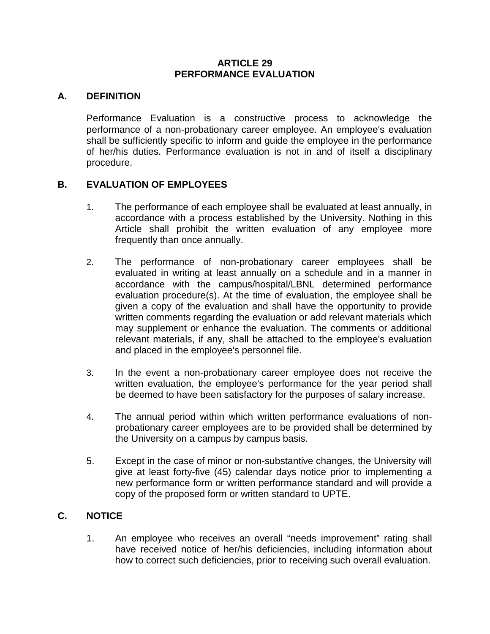#### **ARTICLE 29 PERFORMANCE EVALUATION**

## **A. DEFINITION**

Performance Evaluation is a constructive process to acknowledge the performance of a non-probationary career employee. An employee's evaluation shall be sufficiently specific to inform and guide the employee in the performance of her/his duties. Performance evaluation is not in and of itself a disciplinary procedure.

## **B. EVALUATION OF EMPLOYEES**

- 1. The performance of each employee shall be evaluated at least annually, in accordance with a process established by the University. Nothing in this Article shall prohibit the written evaluation of any employee more frequently than once annually.
- 2. The performance of non-probationary career employees shall be evaluated in writing at least annually on a schedule and in a manner in accordance with the campus/hospital/LBNL determined performance evaluation procedure(s). At the time of evaluation, the employee shall be given a copy of the evaluation and shall have the opportunity to provide written comments regarding the evaluation or add relevant materials which may supplement or enhance the evaluation. The comments or additional relevant materials, if any, shall be attached to the employee's evaluation and placed in the employee's personnel file.
- 3. In the event a non-probationary career employee does not receive the written evaluation, the employee's performance for the year period shall be deemed to have been satisfactory for the purposes of salary increase.
- 4. The annual period within which written performance evaluations of nonprobationary career employees are to be provided shall be determined by the University on a campus by campus basis.
- 5. Except in the case of minor or non-substantive changes, the University will give at least forty-five (45) calendar days notice prior to implementing a new performance form or written performance standard and will provide a copy of the proposed form or written standard to UPTE.

# **C. NOTICE**

1. An employee who receives an overall "needs improvement" rating shall have received notice of her/his deficiencies, including information about how to correct such deficiencies, prior to receiving such overall evaluation.